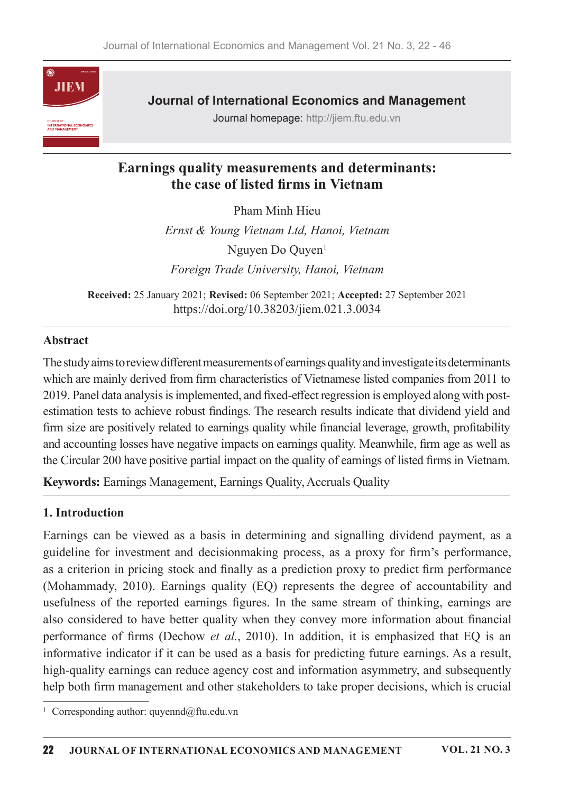

**Journal of International Economics and Management** 

Journal homepage: http://jiem.ftu.edu.vn

## Earnings quality measurements and determinants: the case of listed firms in Vietnam

Pham Minh Hieu Ernst & Young Vietnam Ltd, Hanoi, Vietnam Nguyen Do Quyen $<sup>1</sup>$ </sup> Foreign Trade University, Hanoi, Vietnam

Received: 25 January 2021; Revised: 06 September 2021; Accepted: 27 September 2021 https://doi.org/10.38203/jiem.021.3.0034

#### **Abstract**

The study aims to review different measurements of earnings quality and investigate its determinants which are mainly derived from firm characteristics of Vietnamese listed companies from 2011 to 2019. Panel data analysis is implemented, and fixed-effect regression is employed along with postestimation tests to achieve robust findings. The research results indicate that dividend yield and firm size are positively related to earnings quality while financial leverage, growth, profitability and accounting losses have negative impacts on earnings quality. Meanwhile, firm age as well as the Circular 200 have positive partial impact on the quality of earnings of listed firms in Vietnam.

**Keywords:** Earnings Management, Earnings Quality, Accruals Quality

#### 1. Introduction

Earnings can be viewed as a basis in determining and signalling dividend payment, as a guideline for investment and decision making process, as a proxy for firm's performance, as a criterion in pricing stock and finally as a prediction proxy to predict firm performance (Mohammady, 2010). Earnings quality (EQ) represents the degree of accountability and usefulness of the reported earnings figures. In the same stream of thinking, earnings are also considered to have better quality when they convey more information about financial performance of firms (Dechow et al., 2010). In addition, it is emphasized that EQ is an informative indicator if it can be used as a basis for predicting future earnings. As a result, high-quality earnings can reduce agency cost and information asymmetry, and subsequently help both firm management and other stakeholders to take proper decisions, which is crucial

<sup>&</sup>lt;sup>1</sup> Corresponding author: quyennd@ftu.edu.vn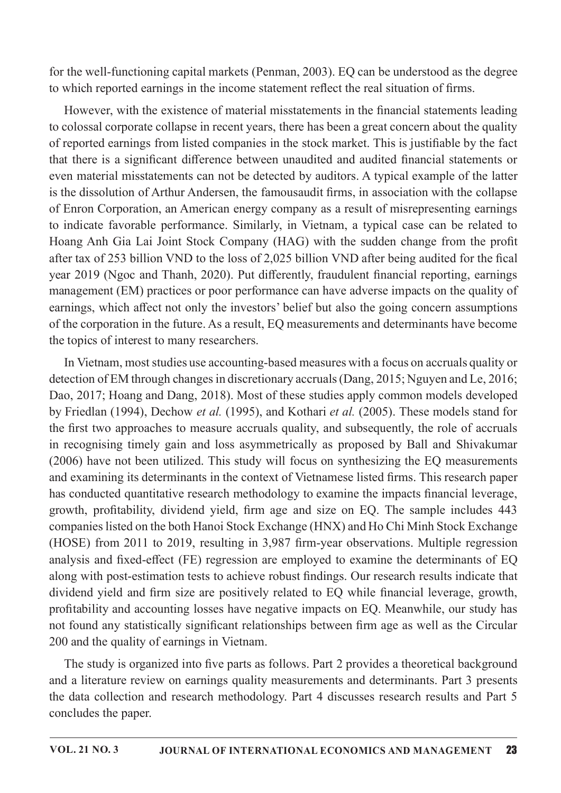for the well-functioning capital markets (Penman, 2003). EQ can be understood as the degree to which reported earnings in the income statement reflect the real situation of firms.

However, with the existence of material misstatements in the financial statements leading to colossal corporate collapse in recent years, there has been a great concern about the quality of reported earnings from listed companies in the stock market. This is justifiable by the fact that there is a significant difference between unaudited and audited financial statements or even material misstatements can not be detected by auditors. A typical example of the latter is the dissolution of Arthur Andersen, the famousaudit firms, in association with the collapse of Enron Corporation, an American energy company as a result of misrepresenting earnings to indicate favorable performance. Similarly, in Vietnam, a typical case can be related to Hoang Anh Gia Lai Joint Stock Company (HAG) with the sudden change from the profit after tax of 253 billion VND to the loss of 2,025 billion VND after being audited for the fical year 2019 (Ngoc and Thanh, 2020). Put differently, fraudulent financial reporting, earnings management (EM) practices or poor performance can have adverse impacts on the quality of earnings, which affect not only the investors' belief but also the going concern assumptions of the corporation in the future. As a result, EQ measurements and determinants have become the topics of interest to many researchers.

In Vietnam, most studies use accounting-based measures with a focus on accruals quality or detection of EM through changes in discretionary accruals (Dang, 2015; Nguyen and Le, 2016; Dao, 2017; Hoang and Dang, 2018). Most of these studies apply common models developed by Friedlan (1994), Dechow et al. (1995), and Kothari et al. (2005). These models stand for the first two approaches to measure accruals quality, and subsequently, the role of accruals in recognising timely gain and loss asymmetrically as proposed by Ball and Shivakumar (2006) have not been utilized. This study will focus on synthesizing the EQ measurements and examining its determinants in the context of Vietnamese listed firms. This research paper has conducted quantitative research methodology to examine the impacts financial leverage, growth, profitability, dividend yield, firm age and size on EQ. The sample includes 443 companies listed on the both Hanoi Stock Exchange (HNX) and Ho Chi Minh Stock Exchange (HOSE) from 2011 to 2019, resulting in 3,987 firm-year observations. Multiple regression analysis and fixed-effect (FE) regression are employed to examine the determinants of EQ along with post-estimation tests to achieve robust findings. Our research results indicate that dividend yield and firm size are positively related to EQ while financial leverage, growth, profitability and accounting losses have negative impacts on EQ. Meanwhile, our study has not found any statistically significant relationships between firm age as well as the Circular 200 and the quality of earnings in Vietnam.

The study is organized into five parts as follows. Part 2 provides a theoretical background and a literature review on earnings quality measurements and determinants. Part 3 presents the data collection and research methodology. Part 4 discusses research results and Part 5 concludes the paper.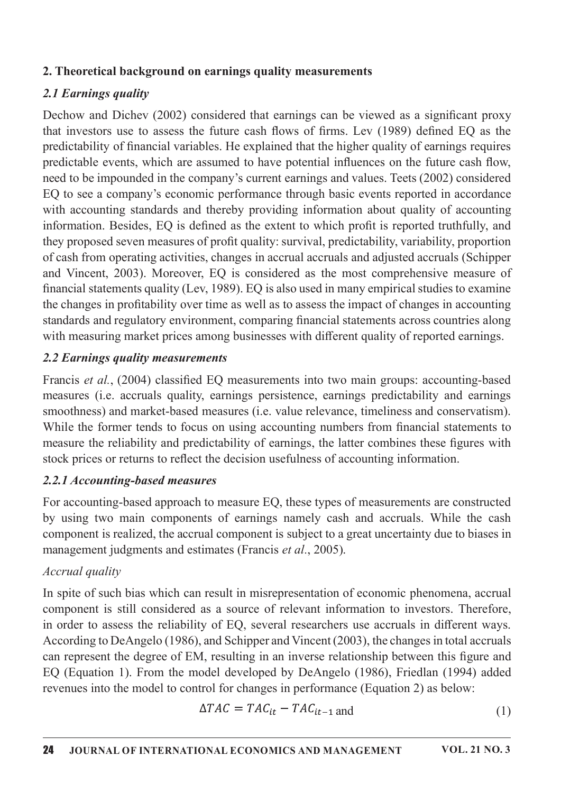### 2. Theoretical background on earnings quality measurements

## 2.1 Earnings quality

Dechow and Dichev (2002) considered that earnings can be viewed as a significant proxy that investors use to assess the future cash flows of firms. Lev (1989) defined EO as the predictability of financial variables. He explained that the higher quality of earnings requires predictable events, which are assumed to have potential influences on the future cash flow, need to be impounded in the company's current earnings and values. Teets (2002) considered EQ to see a company's economic performance through basic events reported in accordance with accounting standards and thereby providing information about quality of accounting information. Besides, EQ is defined as the extent to which profit is reported truthfully, and they proposed seven measures of profit quality: survival, predictability, variability, proportion of cash from operating activities, changes in accrual accruals and adjusted accruals (Schipper and Vincent, 2003). Moreover, EQ is considered as the most comprehensive measure of financial statements quality (Lev, 1989). EQ is also used in many empirical studies to examine the changes in profitability over time as well as to assess the impact of changes in accounting standards and regulatory environment, comparing financial statements across countries along with measuring market prices among businesses with different quality of reported earnings.

### 2.2 Earnings quality measurements

Francis et al., (2004) classified EQ measurements into two main groups: accounting-based measures (i.e. accruals quality, earnings persistence, earnings predictability and earnings smoothness) and market-based measures (i.e. value relevance, timeliness and conservatism). While the former tends to focus on using accounting numbers from financial statements to measure the reliability and predictability of earnings, the latter combines these figures with stock prices or returns to reflect the decision usefulness of accounting information.

### 2.2.1 Accounting-based measures

For accounting-based approach to measure EQ, these types of measurements are constructed by using two main components of earnings namely cash and accruals. While the cash component is realized, the accrual component is subject to a great uncertainty due to biases in management judgments and estimates (Francis et al., 2005).

### Accrual quality

In spite of such bias which can result in misrepresentation of economic phenomena, accrual component is still considered as a source of relevant information to investors. Therefore, in order to assess the reliability of EQ, several researchers use accruals in different ways. According to DeAngelo (1986), and Schipper and Vincent (2003), the changes in total accruals can represent the degree of EM, resulting in an inverse relationship between this figure and EQ (Equation 1). From the model developed by DeAngelo (1986), Friedlan (1994) added revenues into the model to control for changes in performance (Equation 2) as below:

$$
\Delta TAC = TAC_{it} - TAC_{it-1} \text{ and}
$$
 (1)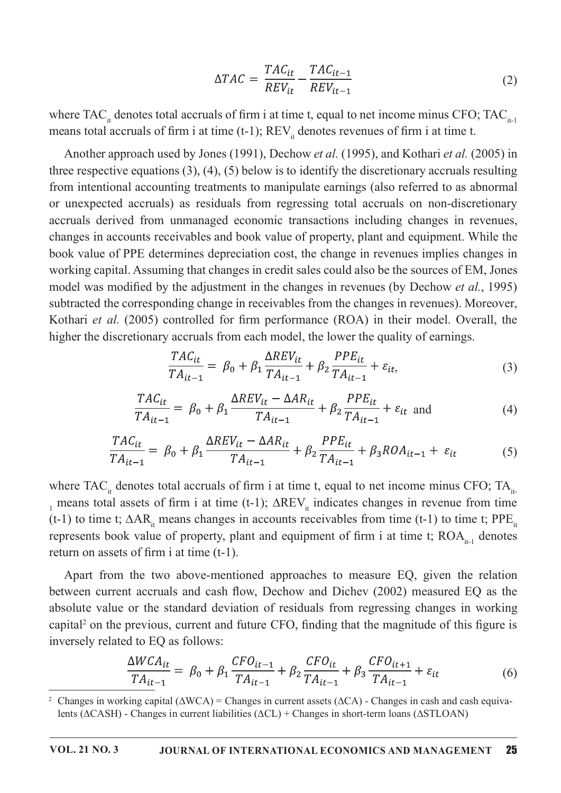$$
\Delta TAC = \frac{TAC_{it}}{REV_{it}} - \frac{TAC_{it-1}}{REV_{it-1}}
$$
\n(2)

where TAC<sub>it</sub> denotes total accruals of firm i at time t, equal to net income minus CFO; TAC<sub>it-1</sub> means total accruals of firm i at time (t-1);  $REV_{it}$  denotes revenues of firm i at time t.

Another approach used by Jones (1991), Dechow et al. (1995), and Kothari et al. (2005) in three respective equations  $(3)$ ,  $(4)$ ,  $(5)$  below is to identify the discretionary accruals resulting from intentional accounting treatments to manipulate earnings (also referred to as abnormal or unexpected accruals) as residuals from regressing total accruals on non-discretionary accruals derived from unmanaged economic transactions including changes in revenues, changes in accounts receivables and book value of property, plant and equipment. While the book value of PPE determines depreciation cost, the change in revenues implies changes in working capital. Assuming that changes in credit sales could also be the sources of EM, Jones model was modified by the adjustment in the changes in revenues (by Dechow *et al.*, 1995) subtracted the corresponding change in receivables from the changes in revenues). Moreover, Kothari et al. (2005) controlled for firm performance (ROA) in their model. Overall, the higher the discretionary accruals from each model, the lower the quality of earnings.

$$
\frac{TAC_{it}}{TA_{it-1}} = \beta_0 + \beta_1 \frac{\Delta REV_{it}}{TA_{it-1}} + \beta_2 \frac{PPE_{it}}{TA_{it-1}} + \varepsilon_{it},\tag{3}
$$

$$
\frac{TAC_{it}}{TA_{it-1}} = \beta_0 + \beta_1 \frac{\Delta REV_{it} - \Delta AR_{it}}{TA_{it-1}} + \beta_2 \frac{PPE_{it}}{TA_{it-1}} + \varepsilon_{it} \text{ and } (4)
$$

$$
\frac{TAC_{it}}{TA_{it-1}} = \beta_0 + \beta_1 \frac{\Delta REV_{it} - \Delta AR_{it}}{TA_{it-1}} + \beta_2 \frac{PPE_{it}}{TA_{it-1}} + \beta_3 ROA_{it-1} + \varepsilon_{it}
$$
(5)

where TAC<sub>it</sub> denotes total accruals of firm i at time t, equal to net income minus CFO; TA<sub>it</sub>  $<sub>1</sub>$  means total assets of firm i at time (t-1);  $\Delta$ REV<sub>it</sub> indicates changes in revenue from time</sub> (t-1) to time t;  $\Delta AR_{\mu}$  means changes in accounts receivables from time (t-1) to time t; PPE<sub>it</sub> represents book value of property, plant and equipment of firm i at time t;  $ROA_{n+1}$  denotes return on assets of firm i at time  $(t-1)$ .

Apart from the two above-mentioned approaches to measure EQ, given the relation between current accruals and cash flow, Dechow and Dichev (2002) measured EQ as the absolute value or the standard deviation of residuals from regressing changes in working capital<sup>2</sup> on the previous, current and future CFO, finding that the magnitude of this figure is inversely related to EQ as follows:

$$
\frac{\Delta WCA_{it}}{TA_{it-1}} = \beta_0 + \beta_1 \frac{CFO_{it-1}}{TA_{it-1}} + \beta_2 \frac{CFO_{it}}{TA_{it-1}} + \beta_3 \frac{CFO_{it+1}}{TA_{it-1}} + \varepsilon_{it}
$$
(6)

<sup>&</sup>lt;sup>2</sup> Changes in working capital ( $\triangle WCA$ ) = Changes in current assets ( $\triangle CA$ ) - Changes in cash and cash equivalents (ΔCASH) - Changes in current liabilities (ΔCL) + Changes in short-term loans (ΔSTLOAN)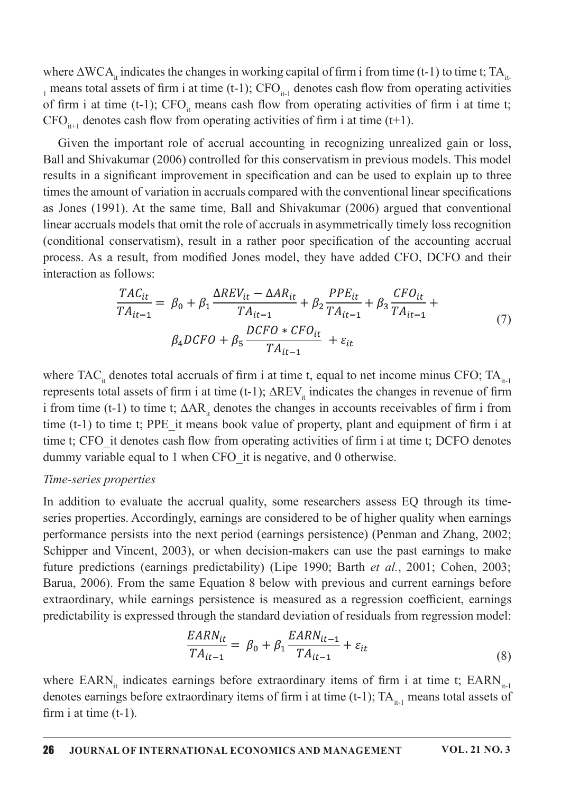where  $\triangle WCA_{\mu}$  indicates the changes in working capital of firm i from time (t-1) to time t; TA<sub>it</sub>  $_{1}$  means total assets of firm i at time (t-1); CFO<sub>it-1</sub> denotes cash flow from operating activities of firm i at time (t-1); CFO<sub>it</sub> means cash flow from operating activities of firm i at time t; CFO<sub>it+1</sub> denotes cash flow from operating activities of firm i at time (t+1).

Given the important role of accrual accounting in recognizing unrealized gain or loss, Ball and Shivakumar (2006) controlled for this conservatism in previous models. This model results in a significant improvement in specification and can be used to explain up to three times the amount of variation in accruals compared with the conventional linear specifications as Jones (1991). At the same time, Ball and Shivakumar (2006) argued that conventional linear accruals models that omit the role of accruals in asymmetrically timely loss recognition (conditional conservatism), result in a rather poor specification of the accounting accrual process. As a result, from modified Jones model, they have added CFO, DCFO and their interaction as follows:

$$
\frac{TAC_{it}}{TA_{it-1}} = \beta_0 + \beta_1 \frac{\Delta REV_{it} - \Delta AR_{it}}{TA_{it-1}} + \beta_2 \frac{PPE_{it}}{TA_{it-1}} + \beta_3 \frac{CFO_{it}}{TA_{it-1}} + \beta_4 DCFO + \beta_5 \frac{DCFO * CFO_{it}}{TA_{it-1}} + \varepsilon_{it}
$$
\n(7)

where TAC<sub>it</sub> denotes total accruals of firm i at time t, equal to net income minus CFO; TA<sub>it-1</sub> represents total assets of firm i at time (t-1);  $\Delta$ REV<sub>it</sub> indicates the changes in revenue of firm i from time (t-1) to time t;  $\Delta AR_{\mu}$  denotes the changes in accounts receivables of firm i from time  $(t-1)$  to time t; PPE it means book value of property, plant and equipment of firm i at time t; CFO it denotes cash flow from operating activities of firm i at time t; DCFO denotes dummy variable equal to 1 when CFO it is negative, and 0 otherwise.

#### Time-series properties

In addition to evaluate the accrual quality, some researchers assess EQ through its timeseries properties. Accordingly, earnings are considered to be of higher quality when earnings performance persists into the next period (earnings persistence) (Penman and Zhang, 2002; Schipper and Vincent, 2003), or when decision-makers can use the past earnings to make future predictions (earnings predictability) (Lipe 1990; Barth *et al.*, 2001; Cohen, 2003; Barua, 2006). From the same Equation 8 below with previous and current earnings before extraordinary, while earnings persistence is measured as a regression coefficient, earnings predictability is expressed through the standard deviation of residuals from regression model:

$$
\frac{EARN_{it}}{TA_{it-1}} = \beta_0 + \beta_1 \frac{EARN_{it-1}}{TA_{it-1}} + \varepsilon_{it}
$$
\n
$$
(8)
$$

where EARN<sub>it</sub> indicates earnings before extraordinary items of firm i at time t; EARN<sub>it-1</sub> denotes earnings before extraordinary items of firm i at time (t-1);  $TA<sub>it-1</sub>$  means total assets of firm i at time  $(t-1)$ .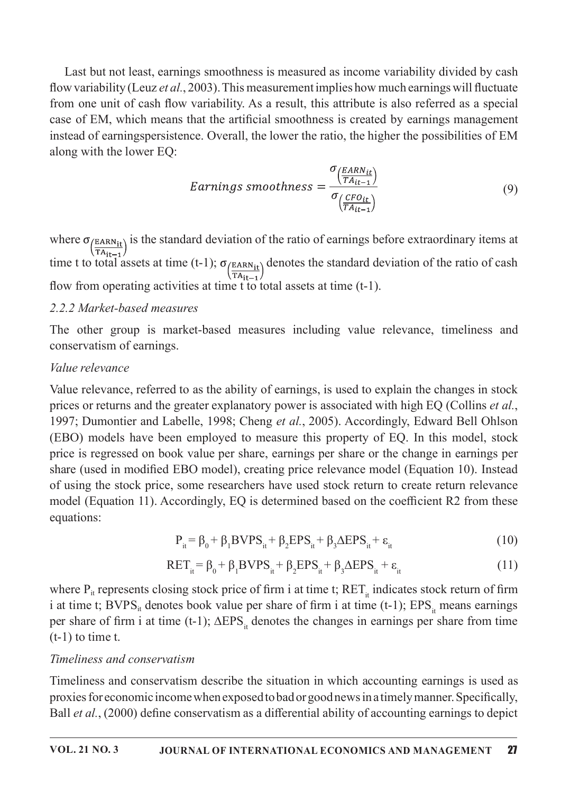Last but not least, earnings smoothness is measured as income variability divided by cash flow variability (Leuz et al., 2003). This measurement implies how much earnings will fluctuate from one unit of cash flow variability. As a result, this attribute is also referred as a special case of EM, which means that the artificial smoothness is created by earnings management instead of earningspersistence. Overall, the lower the ratio, the higher the possibilities of EM along with the lower EQ:

$$
Earnings\ smoothness = \frac{\sigma_{\left(\frac{EARN_{it}}{TA_{it-1}}\right)}}{\sigma_{\left(\frac{CFO_{it}}{TA_{it-1}}\right)}}\tag{9}
$$

where  $\sigma_{\text{EARN}_{it}}$  is the standard deviation of the ratio of earnings before extraordinary items at  $\sqrt{T A_{it-1}}$ time t to total assets at time (t-1);  $\sigma_{\left(\frac{EARN_{it}}{TA_{it-1}}\right)}$  denotes the standard deviation of the ratio of cash flow from operating activities at time t to total assets at time  $(t-1)$ .

#### 2.2.2 Market-based measures

The other group is market-based measures including value relevance, timeliness and conservatism of earnings.

#### Value relevance

Value relevance, referred to as the ability of earnings, is used to explain the changes in stock prices or returns and the greater explanatory power is associated with high EQ (Collins et al., 1997; Dumontier and Labelle, 1998; Cheng et al., 2005). Accordingly, Edward Bell Ohlson (EBO) models have been employed to measure this property of EQ. In this model, stock price is regressed on book value per share, earnings per share or the change in earnings per share (used in modified EBO model), creating price relevance model (Equation 10). Instead of using the stock price, some researchers have used stock return to create return relevance model (Equation 11). Accordingly, EQ is determined based on the coefficient R2 from these equations:

$$
P_{it} = \beta_0 + \beta_1 B VPS_{it} + \beta_2 EPS_{it} + \beta_3 \Delta EPS_{it} + \varepsilon_{it}
$$
 (10)

$$
RET_{it} = \beta_0 + \beta_1 BVPS_{it} + \beta_2 EPS_{it} + \beta_3 \Delta EPS_{it} + \varepsilon_{it}
$$
 (11)

where  $P_{it}$  represents closing stock price of firm i at time t;  $RET_{it}$  indicates stock return of firm i at time t; BVPS<sub>it</sub> denotes book value per share of firm i at time (t-1);  $EPS_i$  means earnings per share of firm i at time (t-1);  $\triangle EPS$ , denotes the changes in earnings per share from time  $(t-1)$  to time t.

#### Timeliness and conservatism

Timeliness and conservatism describe the situation in which accounting earnings is used as proxies for economic income when exposed to bad or good news in a timely manner. Specifically, Ball et al., (2000) define conservatism as a differential ability of accounting earnings to depict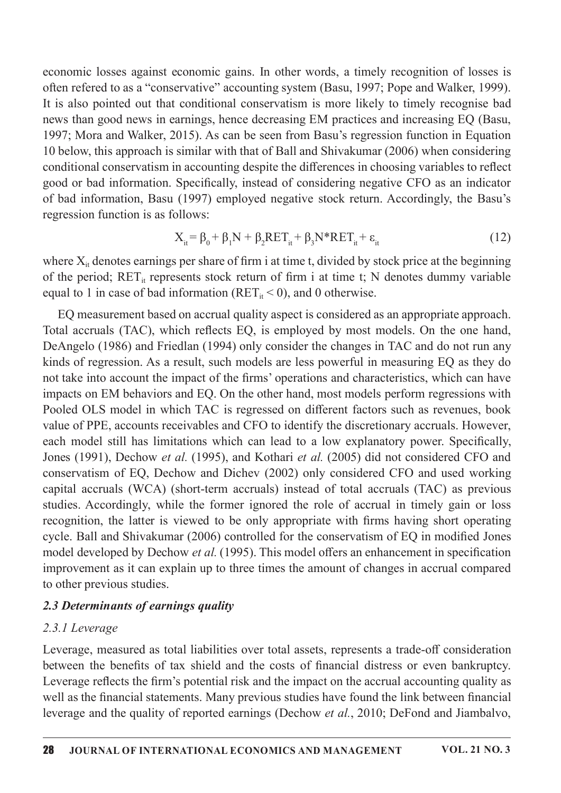economic losses against economic gains. In other words, a timely recognition of losses is often refered to as a "conservative" accounting system (Basu, 1997; Pope and Walker, 1999). It is also pointed out that conditional conservatism is more likely to timely recognise bad news than good news in earnings, hence decreasing EM practices and increasing EQ (Basu, 1997; Mora and Walker, 2015). As can be seen from Basu's regression function in Equation 10 below, this approach is similar with that of Ball and Shivakumar (2006) when considering conditional conservatism in accounting despite the differences in choosing variables to reflect good or bad information. Specifically, instead of considering negative CFO as an indicator of bad information, Basu (1997) employed negative stock return. Accordingly, the Basu's regression function is as follows:

$$
X_{it} = \beta_0 + \beta_1 N + \beta_2 RET_{it} + \beta_3 N^*RET_{it} + \varepsilon_{it}
$$
 (12)

where  $X_{it}$  denotes earnings per share of firm i at time t, divided by stock price at the beginning of the period; RET<sub>it</sub> represents stock return of firm i at time t; N denotes dummy variable equal to 1 in case of bad information ( $RET_{it} < 0$ ), and 0 otherwise.

EQ measurement based on accrual quality aspect is considered as an appropriate approach. Total accruals (TAC), which reflects EQ, is employed by most models. On the one hand, DeAngelo (1986) and Friedlan (1994) only consider the changes in TAC and do not run any kinds of regression. As a result, such models are less powerful in measuring EQ as they do not take into account the impact of the firms' operations and characteristics, which can have impacts on EM behaviors and EQ. On the other hand, most models perform regressions with Pooled OLS model in which TAC is regressed on different factors such as revenues, book value of PPE, accounts receivables and CFO to identify the discretionary accruals. However, each model still has limitations which can lead to a low explanatory power. Specifically, Jones (1991), Dechow et al. (1995), and Kothari et al. (2005) did not considered CFO and conservatism of EQ, Dechow and Dichev (2002) only considered CFO and used working capital accruals (WCA) (short-term accruals) instead of total accruals (TAC) as previous studies. Accordingly, while the former ignored the role of accrual in timely gain or loss recognition, the latter is viewed to be only appropriate with firms having short operating cycle. Ball and Shivakumar (2006) controlled for the conservatism of EQ in modified Jones model developed by Dechow et al. (1995). This model offers an enhancement in specification improvement as it can explain up to three times the amount of changes in accrual compared to other previous studies.

#### 2.3 Determinants of earnings quality

#### 2.3.1 Leverage

Leverage, measured as total liabilities over total assets, represents a trade-off consideration between the benefits of tax shield and the costs of financial distress or even bankruptcy. Leverage reflects the firm's potential risk and the impact on the accrual accounting quality as well as the financial statements. Many previous studies have found the link between financial leverage and the quality of reported earnings (Dechow et al., 2010; DeFond and Jiambalvo,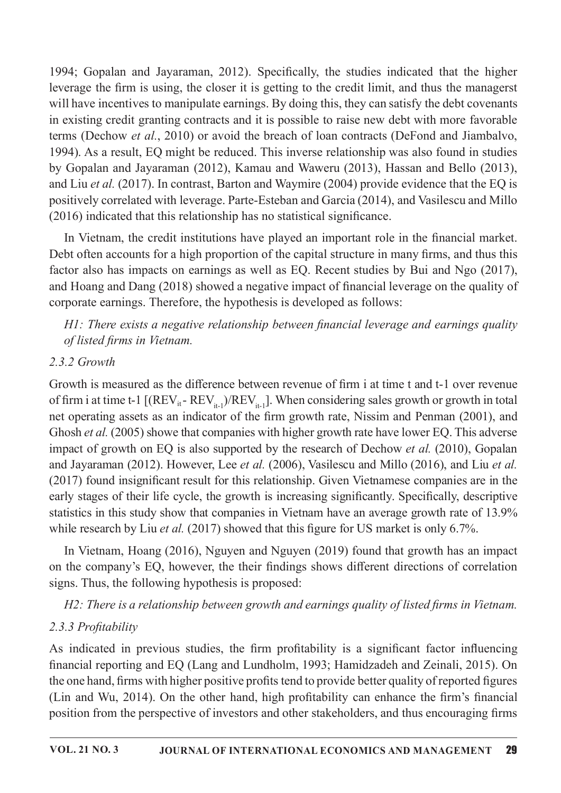1994; Gopalan and Jayaraman, 2012). Specifically, the studies indicated that the higher leverage the firm is using, the closer it is getting to the credit limit, and thus the managerst will have incentives to manipulate earnings. By doing this, they can satisfy the debt covenants in existing credit granting contracts and it is possible to raise new debt with more favorable terms (Dechow et al., 2010) or avoid the breach of loan contracts (DeFond and Jiambalvo, 1994). As a result, EQ might be reduced. This inverse relationship was also found in studies by Gopalan and Jayaraman (2012), Kamau and Waweru (2013), Hassan and Bello (2013), and Liu et al. (2017). In contrast, Barton and Waymire (2004) provide evidence that the EQ is positively correlated with leverage. Parte-Esteban and Garcia (2014), and Vasilescu and Millo  $(2016)$  indicated that this relationship has no statistical significance.

In Vietnam, the credit institutions have played an important role in the financial market. Debt often accounts for a high proportion of the capital structure in many firms, and thus this factor also has impacts on earnings as well as EQ. Recent studies by Bui and Ngo (2017), and Hoang and Dang (2018) showed a negative impact of financial leverage on the quality of corporate earnings. Therefore, the hypothesis is developed as follows:

 $H1$ : There exists a negative relationship between financial leverage and earnings quality of listed firms in Vietnam.

### $2.3.2$  Growth

Growth is measured as the difference between revenue of firm i at time t and t-1 over revenue of firm i at time t-1  $[(REV_{it} - REV_{it-})/REV_{it-}]$ . When considering sales growth or growth in total net operating assets as an indicator of the firm growth rate, Nissim and Penman (2001), and Ghosh et al. (2005) showe that companies with higher growth rate have lower EQ. This adverse impact of growth on EQ is also supported by the research of Dechow et al. (2010), Gopalan and Jayaraman (2012). However, Lee et al. (2006), Vasilescu and Millo (2016), and Liu et al.  $(2017)$  found insignificant result for this relationship. Given Vietnamese companies are in the early stages of their life cycle, the growth is increasing significantly. Specifically, descriptive statistics in this study show that companies in Vietnam have an average growth rate of 13.9% while research by Liu *et al.* (2017) showed that this figure for US market is only 6.7%.

In Vietnam, Hoang (2016), Nguyen and Nguyen (2019) found that growth has an impact on the company's EQ, however, the their findings shows different directions of correlation signs. Thus, the following hypothesis is proposed:

H2: There is a relationship between growth and earnings quality of listed firms in Vietnam.

# 2.3.3 Profitability

As indicated in previous studies, the firm profitability is a significant factor influencing financial reporting and EQ (Lang and Lundholm, 1993; Hamidzadeh and Zeinali, 2015). On the one hand, firms with higher positive profits tend to provide better quality of reported figures (Lin and Wu, 2014). On the other hand, high profitability can enhance the firm's financial position from the perspective of investors and other stakeholders, and thus encouraging firms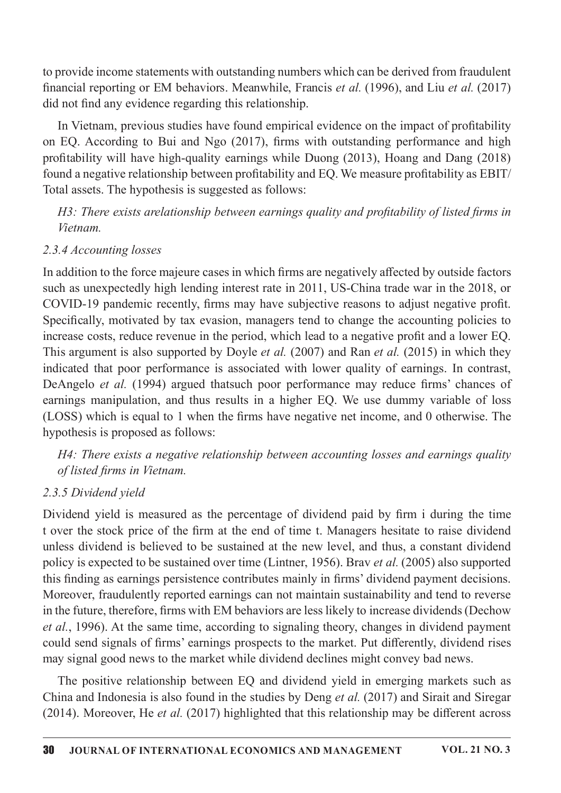to provide income statements with outstanding numbers which can be derived from fraudulent financial reporting or EM behaviors. Meanwhile, Francis et al. (1996), and Liu et al. (2017) did not find any evidence regarding this relationship.

In Vietnam, previous studies have found empirical evidence on the impact of profitability on EQ. According to Bui and Ngo (2017), firms with outstanding performance and high profitability will have high-quality earnings while Duong (2013), Hoang and Dang (2018) found a negative relationship between profitability and EQ. We measure profitability as EBIT/ Total assets. The hypothesis is suggested as follows:

H3: There exists arelationship between earnings quality and profitability of listed firms in Vietnam.

### 2.3.4 Accounting losses

In addition to the force majeure cases in which firms are negatively affected by outside factors such as unexpectedly high lending interest rate in 2011, US-China trade war in the 2018, or COVID-19 pandemic recently, firms may have subjective reasons to adjust negative profit. Specifically, motivated by tax evasion, managers tend to change the accounting policies to increase costs, reduce revenue in the period, which lead to a negative profit and a lower EQ. This argument is also supported by Doyle *et al.* (2007) and Ran *et al.* (2015) in which they indicated that poor performance is associated with lower quality of earnings. In contrast, DeAngelo et al. (1994) argued that such poor performance may reduce firms' chances of earnings manipulation, and thus results in a higher EQ. We use dummy variable of loss (LOSS) which is equal to 1 when the firms have negative net income, and 0 otherwise. The hypothesis is proposed as follows:

H4: There exists a negative relationship between accounting losses and earnings quality of listed firms in Vietnam.

### 2.3.5 Dividend yield

Dividend yield is measured as the percentage of dividend paid by firm i during the time t over the stock price of the firm at the end of time t. Managers hesitate to raise dividend unless dividend is believed to be sustained at the new level, and thus, a constant dividend policy is expected to be sustained over time (Lintner, 1956). Bray *et al.* (2005) also supported this finding as earnings persistence contributes mainly in firms' dividend payment decisions. Moreover, fraudulently reported earnings can not maintain sustainability and tend to reverse in the future, therefore, firms with EM behaviors are less likely to increase dividends (Dechow et al., 1996). At the same time, according to signaling theory, changes in dividend payment could send signals of firms' earnings prospects to the market. Put differently, dividend rises may signal good news to the market while dividend declines might convey bad news.

The positive relationship between EQ and dividend yield in emerging markets such as China and Indonesia is also found in the studies by Deng et al. (2017) and Sirait and Siregar (2014). Moreover, He et al. (2017) highlighted that this relationship may be different across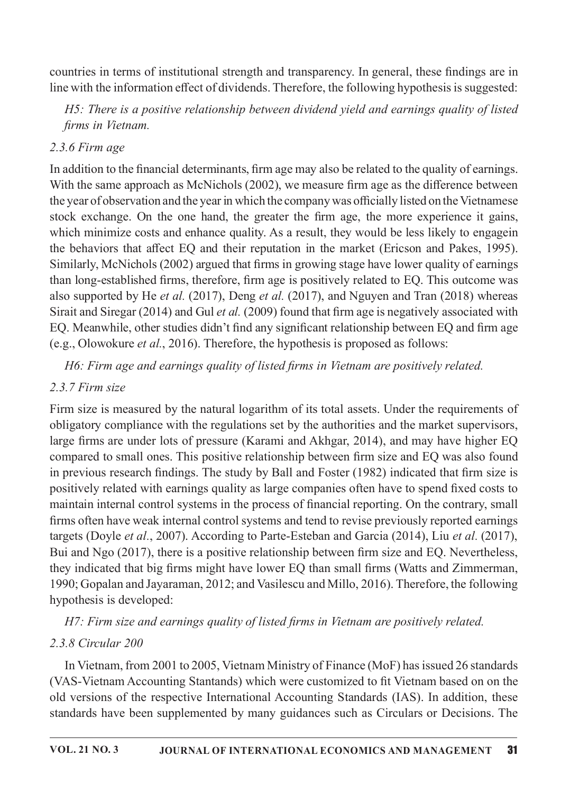countries in terms of institutional strength and transparency. In general, these findings are in line with the information effect of dividends. Therefore, the following hypothesis is suggested:

H5: There is a positive relationship between dividend yield and earnings quality of listed firms in Vietnam.

### $2.3.6$  Firm age

In addition to the financial determinants, firm age may also be related to the quality of earnings. With the same approach as McNichols (2002), we measure firm age as the difference between the year of observation and the year in which the company was officially listed on the Vietnamese stock exchange. On the one hand, the greater the firm age, the more experience it gains, which minimize costs and enhance quality. As a result, they would be less likely to engage in the behaviors that affect EQ and their reputation in the market (Ericson and Pakes, 1995). Similarly, McNichols (2002) argued that firms in growing stage have lower quality of earnings than long-established firms, therefore, firm age is positively related to EQ. This outcome was also supported by He et al. (2017), Deng et al. (2017), and Nguyen and Tran (2018) whereas Sirait and Siregar (2014) and Gul et al. (2009) found that firm age is negatively associated with EQ. Meanwhile, other studies didn't find any significant relationship between EQ and firm age (e.g., Olowokure *et al.*, 2016). Therefore, the hypothesis is proposed as follows:

H6: Firm age and earnings quality of listed firms in Vietnam are positively related.

## 2.3.7 Firm size

Firm size is measured by the natural logarithm of its total assets. Under the requirements of obligatory compliance with the regulations set by the authorities and the market supervisors, large firms are under lots of pressure (Karami and Akhgar, 2014), and may have higher EQ compared to small ones. This positive relationship between firm size and EQ was also found in previous research findings. The study by Ball and Foster (1982) indicated that firm size is positively related with earnings quality as large companies often have to spend fixed costs to maintain internal control systems in the process of financial reporting. On the contrary, small firms often have weak internal control systems and tend to revise previously reported earnings targets (Doyle et al., 2007). According to Parte-Esteban and Garcia (2014), Liu et al. (2017), Bui and Ngo (2017), there is a positive relationship between firm size and EQ. Nevertheless, they indicated that big firms might have lower EQ than small firms (Watts and Zimmerman, 1990; Gopalan and Jayaraman, 2012; and Vasilescu and Millo, 2016). Therefore, the following hypothesis is developed:

H7: Firm size and earnings quality of listed firms in Vietnam are positively related.

# 2.3.8 Circular 200

In Vietnam, from 2001 to 2005, Vietnam Ministry of Finance (MoF) has issued 26 standards (VAS-Vietnam Accounting Stantands) which were customized to fit Vietnam based on on the old versions of the respective International Accounting Standards (IAS). In addition, these standards have been supplemented by many guidances such as Circulars or Decisions. The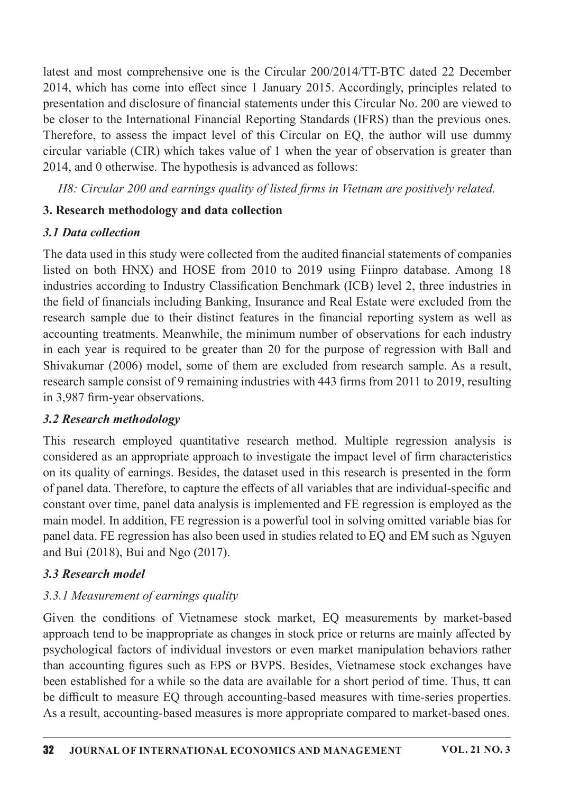latest and most comprehensive one is the Circular 200/2014/TT-BTC dated 22 December 2014, which has come into effect since 1 January 2015. Accordingly, principles related to presentation and disclosure of financial statements under this Circular No. 200 are viewed to be closer to the International Financial Reporting Standards (IFRS) than the previous ones. Therefore, to assess the impact level of this Circular on EQ, the author will use dummy circular variable (CIR) which takes value of 1 when the year of observation is greater than 2014, and 0 otherwise. The hypothesis is advanced as follows:

H8: Circular 200 and earnings quality of listed firms in Vietnam are positively related.

## 3. Research methodology and data collection

### 3.1 Data collection

The data used in this study were collected from the audited financial statements of companies listed on both HNX) and HOSE from 2010 to 2019 using Fiinpro database. Among 18 industries according to Industry Classification Benchmark (ICB) level 2, three industries in the field of financials including Banking, Insurance and Real Estate were excluded from the research sample due to their distinct features in the financial reporting system as well as accounting treatments. Meanwhile, the minimum number of observations for each industry in each year is required to be greater than 20 for the purpose of regression with Ball and Shivakumar (2006) model, some of them are excluded from research sample. As a result, research sample consist of 9 remaining industries with 443 firms from 2011 to 2019, resulting in 3.987 firm-year observations.

### 3.2 Research methodology

This research employed quantitative research method. Multiple regression analysis is considered as an appropriate approach to investigate the impact level of firm characteristics on its quality of earnings. Besides, the dataset used in this research is presented in the form of panel data. Therefore, to capture the effects of all variables that are individual-specific and constant over time, panel data analysis is implemented and FE regression is employed as the main model. In addition, FE regression is a powerful tool in solving omitted variable bias for panel data. FE regression has also been used in studies related to EQ and EM such as Nguyen and Bui (2018), Bui and Ngo (2017).

### 3.3 Research model

# 3.3.1 Measurement of earnings quality

Given the conditions of Vietnamese stock market, EQ measurements by market-based approach tend to be inappropriate as changes in stock price or returns are mainly affected by psychological factors of individual investors or even market manipulation behaviors rather than accounting figures such as EPS or BVPS. Besides, Vietnamese stock exchanges have been established for a while so the data are available for a short period of time. Thus, tt can be difficult to measure EQ through accounting-based measures with time-series properties. As a result, accounting-based measures is more appropriate compared to market-based ones.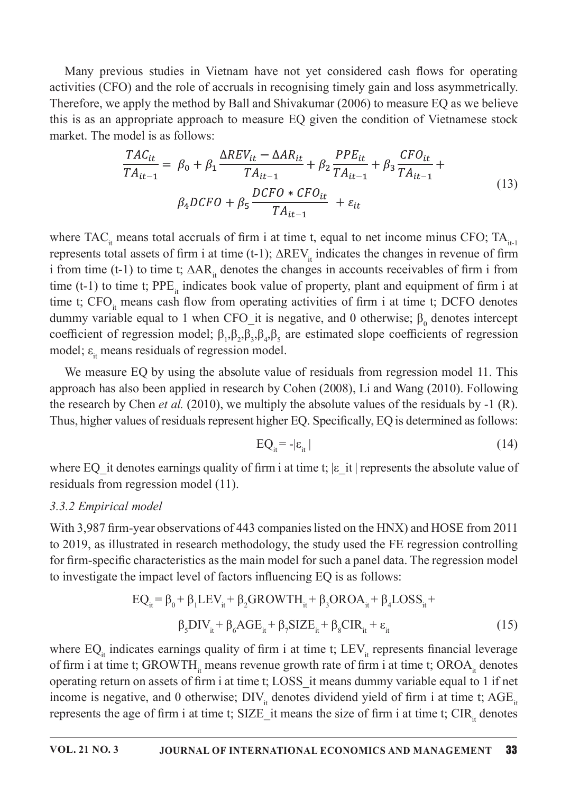Many previous studies in Vietnam have not yet considered cash flows for operating activities (CFO) and the role of accruals in recognising timely gain and loss asymmetrically. Therefore, we apply the method by Ball and Shivakumar  $(2006)$  to measure EQ as we believe this is as an appropriate approach to measure EQ given the condition of Vietnamese stock market. The model is as follows:

$$
\frac{TAC_{it}}{TA_{it-1}} = \beta_0 + \beta_1 \frac{\Delta REV_{it} - \Delta AR_{it}}{TA_{it-1}} + \beta_2 \frac{PPE_{it}}{TA_{it-1}} + \beta_3 \frac{CFO_{it}}{TA_{it-1}} + \beta_4 DCFO + \beta_5 \frac{DCFO * CFO_{it}}{TA_{it-1}} + \varepsilon_{it}
$$
\n(13)

where TAC<sub>it</sub> means total accruals of firm i at time t, equal to net income minus CFO; TA<sub>it-1</sub> represents total assets of firm i at time (t-1);  $\Delta$ REV<sub>it</sub> indicates the changes in revenue of firm i from time (t-1) to time t;  $\Delta AR_{\mu}$  denotes the changes in accounts receivables of firm i from time (t-1) to time t; PPE<sub>it</sub> indicates book value of property, plant and equipment of firm i at time t;  $CFO<sub>i</sub>$  means cash flow from operating activities of firm i at time t; DCFO denotes dummy variable equal to 1 when CFO\_it is negative, and 0 otherwise;  $\beta_0$  denotes intercept coefficient of regression model;  $\beta_1$ , $\beta_2$ , $\beta_3$ , $\beta_4$ , $\beta_5$  are estimated slope coefficients of regression model;  $\varepsilon$ <sub>it</sub> means residuals of regression model.

We measure EQ by using the absolute value of residuals from regression model 11. This approach has also been applied in research by Cohen (2008), Li and Wang (2010). Following the research by Chen *et al.* (2010), we multiply the absolute values of the residuals by -1 (R). Thus, higher values of residuals represent higher EQ. Specifically, EQ is determined as follows:

$$
EQ_{it} = -|\varepsilon_{it}| \tag{14}
$$

where EQ it denotes earnings quality of firm i at time t;  $|\varepsilon|$  it represents the absolute value of residuals from regression model  $(11)$ .

#### 3.3.2 Empirical model

With 3,987 firm-year observations of 443 companies listed on the HNX) and HOSE from 2011 to 2019, as illustrated in research methodology, the study used the FE regression controlling for firm-specific characteristics as the main model for such a panel data. The regression model to investigate the impact level of factors influencing EQ is as follows:

$$
EQ_{it} = \beta_0 + \beta_1 LEV_{it} + \beta_2 GROWTH_{it} + \beta_3 OROA_{it} + \beta_4 LOSS_{it} +
$$
  

$$
\beta_5 DIV_{it} + \beta_6 AGE_{it} + \beta_7 SIZE_{it} + \beta_8 CIR_{it} + \varepsilon_{it}
$$
 (15)

where EQ<sub>it</sub> indicates earnings quality of firm i at time t; LEV<sub>it</sub> represents financial leverage of firm i at time t; GROWTH<sub>it</sub> means revenue growth rate of firm i at time t; OROA<sub>it</sub> denotes operating return on assets of firm i at time t; LOSS it means dummy variable equal to 1 if net income is negative, and 0 otherwise;  $\text{DIV}_{\text{in}}$  denotes dividend yield of firm i at time t; AGE<sub> $\text{in}$ </sub> represents the age of firm i at time t; SIZE\_it means the size of firm i at time t; CIR<sub>it</sub> denotes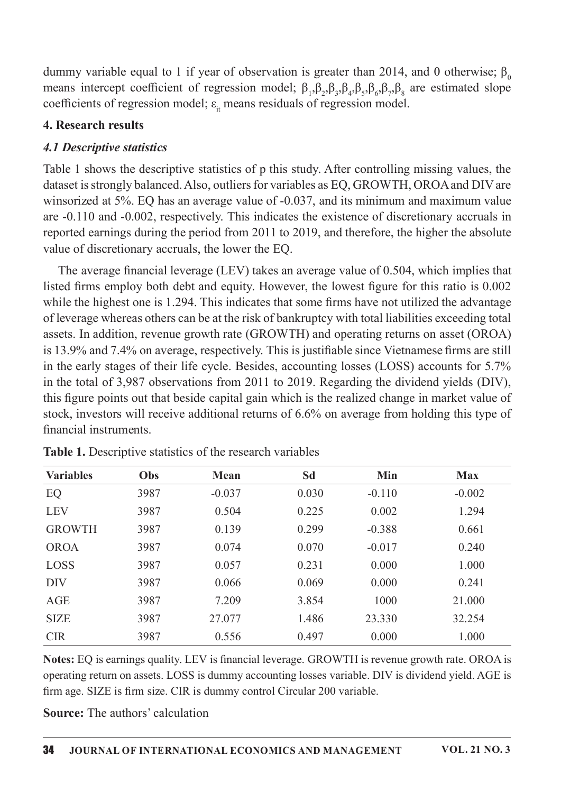dummy variable equal to 1 if year of observation is greater than 2014, and 0 otherwise;  $\beta_0$ means intercept coefficient of regression model;  $\beta_1, \beta_2, \beta_3, \beta_4, \beta_5, \beta_6, \beta_7, \beta_8$  are estimated slope coefficients of regression model;  $\varepsilon$ <sub>it</sub> means residuals of regression model.

#### **4. Research results**

### **4.1 Descriptive statistics**

Table 1 shows the descriptive statistics of p this study. After controlling missing values, the dataset is strongly balanced. Also, outliers for variables as EQ, GROWTH, OROA and DIV are winsorized at 5%. EQ has an average value of -0.037, and its minimum and maximum value are -0.110 and -0.002, respectively. This indicates the existence of discretionary accruals in reported earnings during the period from 2011 to 2019, and therefore, the higher the absolute value of discretionary accruals, the lower the EQ.

The average financial leverage (LEV) takes an average value of 0.504, which implies that listed firms employ both debt and equity. However, the lowest figure for this ratio is 0.002 while the highest one is 1.294. This indicates that some firms have not utilized the advantage of leverage whereas others can be at the risk of bankruptcy with total liabilities exceeding total assets. In addition, revenue growth rate (GROWTH) and operating returns on asset (OROA) is 13.9% and 7.4% on average, respectively. This is justifiable since Vietnamese firms are still in the early stages of their life cycle. Besides, accounting losses (LOSS) accounts for 5.7% in the total of 3,987 observations from 2011 to 2019. Regarding the dividend yields (DIV), this figure points out that beside capital gain which is the realized change in market value of stock, investors will receive additional returns of 6.6% on average from holding this type of financial instruments.

| <b>Variables</b> | Obs  | <b>Mean</b> | Sd    | Min      | <b>Max</b> |
|------------------|------|-------------|-------|----------|------------|
| EQ               | 3987 | $-0.037$    | 0.030 | $-0.110$ | $-0.002$   |
| <b>LEV</b>       | 3987 | 0.504       | 0.225 | 0.002    | 1.294      |
| <b>GROWTH</b>    | 3987 | 0.139       | 0.299 | $-0.388$ | 0.661      |
| <b>OROA</b>      | 3987 | 0.074       | 0.070 | $-0.017$ | 0.240      |
| <b>LOSS</b>      | 3987 | 0.057       | 0.231 | 0.000    | 1.000      |
| <b>DIV</b>       | 3987 | 0.066       | 0.069 | 0.000    | 0.241      |
| <b>AGE</b>       | 3987 | 7.209       | 3.854 | 1000     | 21.000     |
| <b>SIZE</b>      | 3987 | 27.077      | 1.486 | 23.330   | 32.254     |
| <b>CIR</b>       | 3987 | 0.556       | 0.497 | 0.000    | 1.000      |

Table 1. Descriptive statistics of the research variables

Notes: EQ is earnings quality. LEV is financial leverage. GROWTH is revenue growth rate. OROA is operating return on assets. LOSS is dummy accounting losses variable. DIV is dividend yield. AGE is firm age. SIZE is firm size. CIR is dummy control Circular 200 variable.

**Source:** The authors' calculation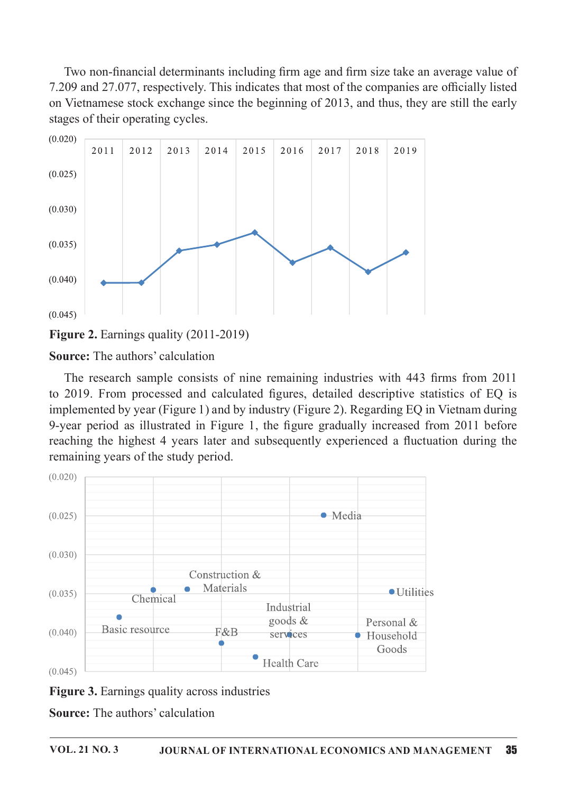Two non-financial determinants including firm age and firm size take an average value of 7.209 and 27.077, respectively. This indicates that most of the companies are officially listed on Vietnamese stock exchange since the beginning of 2013, and thus, they are still the early stages of their operating cycles.





**Source:** The authors' calculation

The research sample consists of nine remaining industries with 443 firms from 2011 to 2019. From processed and calculated figures, detailed descriptive statistics of EQ is implemented by year (Figure 1) and by industry (Figure 2). Regarding EQ in Vietnam during 9-year period as illustrated in Figure 1, the figure gradually increased from 2011 before reaching the highest 4 years later and subsequently experienced a fluctuation during the remaining years of the study period.





**Source:** The authors' calculation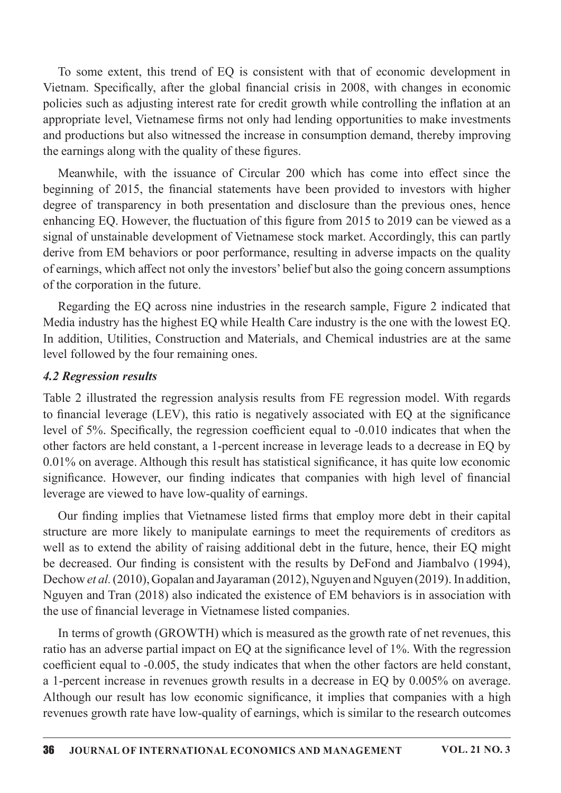To some extent, this trend of EQ is consistent with that of economic development in Vietnam. Specifically, after the global financial crisis in 2008, with changes in economic policies such as adjusting interest rate for credit growth while controlling the inflation at an appropriate level, Vietnamese firms not only had lending opportunities to make investments and productions but also witnessed the increase in consumption demand, thereby improving the earnings along with the quality of these figures.

Meanwhile, with the issuance of Circular 200 which has come into effect since the beginning of 2015, the financial statements have been provided to investors with higher degree of transparency in both presentation and disclosure than the previous ones, hence enhancing EQ. However, the fluctuation of this figure from 2015 to 2019 can be viewed as a signal of unstainable development of Vietnamese stock market. Accordingly, this can partly derive from EM behaviors or poor performance, resulting in adverse impacts on the quality of earnings, which affect not only the investors' belief but also the going concern assumptions of the corporation in the future.

Regarding the EQ across nine industries in the research sample, Figure 2 indicated that Media industry has the highest EQ while Health Care industry is the one with the lowest EQ. In addition, Utilities, Construction and Materials, and Chemical industries are at the same level followed by the four remaining ones.

#### 4.2 Regression results

Table 2 illustrated the regression analysis results from FE regression model. With regards to financial leverage (LEV), this ratio is negatively associated with EQ at the significance level of 5%. Specifically, the regression coefficient equal to -0.010 indicates that when the other factors are held constant, a 1-percent increase in leverage leads to a decrease in EQ by  $0.01\%$  on average. Although this result has statistical significance, it has quite low economic significance. However, our finding indicates that companies with high level of financial leverage are viewed to have low-quality of earnings.

Our finding implies that Vietnamese listed firms that employ more debt in their capital structure are more likely to manipulate earnings to meet the requirements of creditors as well as to extend the ability of raising additional debt in the future, hence, their EQ might be decreased. Our finding is consistent with the results by DeFond and Jiambalvo (1994), Dechow et al. (2010), Gopalan and Jayaraman (2012), Nguyen and Nguyen (2019). In addition, Nguyen and Tran (2018) also indicated the existence of EM behaviors is in association with the use of financial leverage in Vietnamese listed companies.

In terms of growth (GROWTH) which is measured as the growth rate of net revenues, this ratio has an adverse partial impact on EQ at the significance level of 1%. With the regression coefficient equal to -0.005, the study indicates that when the other factors are held constant, a 1-percent increase in revenues growth results in a decrease in EQ by 0.005% on average. Although our result has low economic significance, it implies that companies with a high revenues growth rate have low-quality of earnings, which is similar to the research outcomes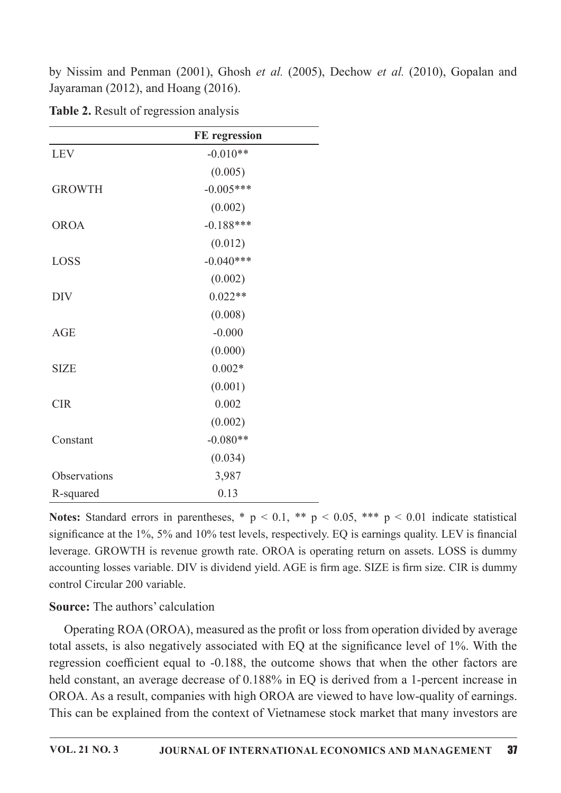by Nissim and Penman (2001), Ghosh et al. (2005), Dechow et al. (2010), Gopalan and Jayaraman (2012), and Hoang (2016).

|               | FE regression |
|---------------|---------------|
| <b>LEV</b>    | $-0.010**$    |
|               | (0.005)       |
| <b>GROWTH</b> | $-0.005***$   |
|               | (0.002)       |
| <b>OROA</b>   | $-0.188***$   |
|               | (0.012)       |
| LOSS          | $-0.040***$   |
|               | (0.002)       |
| <b>DIV</b>    | $0.022**$     |
|               | (0.008)       |
| <b>AGE</b>    | $-0.000$      |
|               | (0.000)       |
| <b>SIZE</b>   | $0.002*$      |
|               | (0.001)       |
| <b>CIR</b>    | 0.002         |
|               | (0.002)       |
| Constant      | $-0.080**$    |
|               | (0.034)       |
| Observations  | 3,987         |
| R-squared     | 0.13          |

Table 2. Result of regression analysis

Notes: Standard errors in parentheses, \*  $p \le 0.1$ , \*\*  $p \le 0.05$ , \*\*\*  $p \le 0.01$  indicate statistical significance at the 1%, 5% and 10% test levels, respectively. EQ is earnings quality. LEV is financial leverage. GROWTH is revenue growth rate. OROA is operating return on assets. LOSS is dummy accounting losses variable. DIV is dividend yield. AGE is firm age. SIZE is firm size. CIR is dummy control Circular 200 variable.

### **Source:** The authors' calculation

Operating ROA (OROA), measured as the profit or loss from operation divided by average total assets, is also negatively associated with EQ at the significance level of 1%. With the regression coefficient equal to -0.188, the outcome shows that when the other factors are held constant, an average decrease of 0.188% in EQ is derived from a 1-percent increase in OROA. As a result, companies with high OROA are viewed to have low-quality of earnings. This can be explained from the context of Vietnamese stock market that many investors are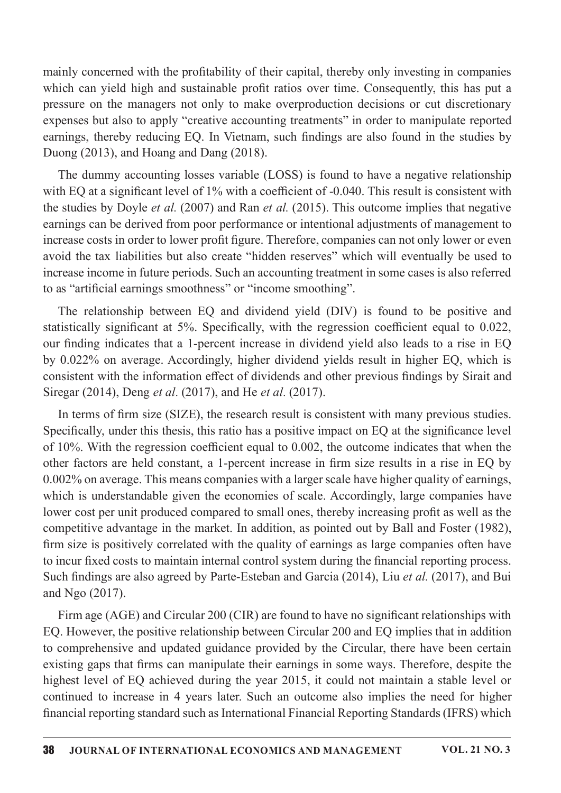mainly concerned with the profitability of their capital, thereby only investing in companies which can yield high and sustainable profit ratios over time. Consequently, this has put a pressure on the managers not only to make overproduction decisions or cut discretionary expenses but also to apply "creative accounting treatments" in order to manipulate reported earnings, thereby reducing EQ. In Vietnam, such findings are also found in the studies by Duong  $(2013)$ , and Hoang and Dang  $(2018)$ .

The dummy accounting losses variable (LOSS) is found to have a negative relationship with EQ at a significant level of 1% with a coefficient of -0.040. This result is consistent with the studies by Doyle *et al.* (2007) and Ran *et al.* (2015). This outcome implies that negative earnings can be derived from poor performance or intentional adjustments of management to increase costs in order to lower profit figure. Therefore, companies can not only lower or even avoid the tax liabilities but also create "hidden reserves" which will eventually be used to increase income in future periods. Such an accounting treatment in some cases is also referred to as "artificial earnings smoothness" or "income smoothing".

The relationship between EQ and dividend yield (DIV) is found to be positive and statistically significant at 5%. Specifically, with the regression coefficient equal to 0.022, our finding indicates that a 1-percent increase in dividend yield also leads to a rise in EQ by 0.022% on average. Accordingly, higher dividend yields result in higher EQ, which is consistent with the information effect of dividends and other previous findings by Sirait and Siregar (2014), Deng et al. (2017), and He et al. (2017).

In terms of firm size (SIZE), the research result is consistent with many previous studies. Specifically, under this thesis, this ratio has a positive impact on EQ at the significance level of  $10\%$ . With the regression coefficient equal to 0.002, the outcome indicates that when the other factors are held constant, a 1-percent increase in firm size results in a rise in EQ by 0.002% on average. This means companies with a larger scale have higher quality of earnings, which is understandable given the economies of scale. Accordingly, large companies have lower cost per unit produced compared to small ones, thereby increasing profit as well as the competitive advantage in the market. In addition, as pointed out by Ball and Foster (1982), firm size is positively correlated with the quality of earnings as large companies often have to incur fixed costs to maintain internal control system during the financial reporting process. Such findings are also agreed by Parte-Esteban and Garcia (2014), Liu et al. (2017), and Bui and Ngo (2017).

Firm age (AGE) and Circular 200 (CIR) are found to have no significant relationships with EQ. However, the positive relationship between Circular 200 and EQ implies that in addition to comprehensive and updated guidance provided by the Circular, there have been certain existing gaps that firms can manipulate their earnings in some ways. Therefore, despite the highest level of EQ achieved during the year 2015, it could not maintain a stable level or continued to increase in 4 years later. Such an outcome also implies the need for higher financial reporting standard such as International Financial Reporting Standards (IFRS) which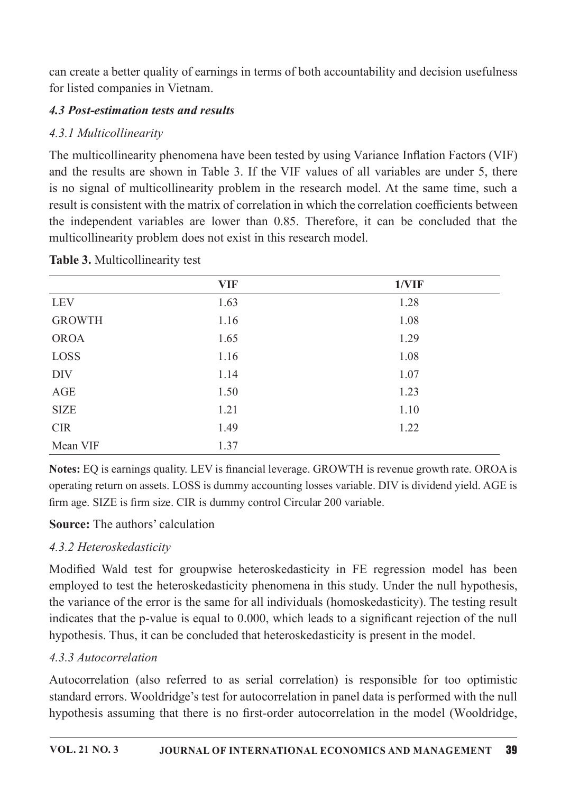can create a better quality of earnings in terms of both accountability and decision usefulness for listed companies in Vietnam.

## 4.3 Post-estimation tests and results

## 4.3.1 Multicollinearity

The multicollinearity phenomena have been tested by using Variance Inflation Factors (VIF) and the results are shown in Table 3. If the VIF values of all variables are under 5, there is no signal of multicollinearity problem in the research model. At the same time, such a result is consistent with the matrix of correlation in which the correlation coefficients between the independent variables are lower than 0.85. Therefore, it can be concluded that the multicollinearity problem does not exist in this research model.

|               | <b>VIF</b> | 1/VIF |  |
|---------------|------------|-------|--|
| <b>LEV</b>    | 1.63       | 1.28  |  |
| <b>GROWTH</b> | 1.16       | 1.08  |  |
| <b>OROA</b>   | 1.65       | 1.29  |  |
| LOSS          | 1.16       | 1.08  |  |
| <b>DIV</b>    | 1.14       | 1.07  |  |
| AGE           | 1.50       | 1.23  |  |
| <b>SIZE</b>   | 1.21       | 1.10  |  |
| <b>CIR</b>    | 1.49       | 1.22  |  |
| Mean VIF      | 1.37       |       |  |

### Table 3. Multicollinearity test

Notes: EQ is earnings quality. LEV is financial leverage. GROWTH is revenue growth rate. OROA is operating return on assets. LOSS is dummy accounting losses variable. DIV is dividend yield. AGE is firm age. SIZE is firm size. CIR is dummy control Circular 200 variable.

### **Source:** The authors' calculation

# 4.3.2 Heteroskedasticity

Modified Wald test for groupwise heteroskedasticity in FE regression model has been employed to test the heteroskedasticity phenomena in this study. Under the null hypothesis, the variance of the error is the same for all individuals (homoskedasticity). The testing result indicates that the p-value is equal to 0.000, which leads to a significant rejection of the null hypothesis. Thus, it can be concluded that heteroskedasticity is present in the model.

### 4 3 3 Autocorrelation

Autocorrelation (also referred to as serial correlation) is responsible for too optimistic standard errors. Wooldridge's test for autocorrelation in panel data is performed with the null hypothesis assuming that there is no first-order autocorrelation in the model (Wooldridge,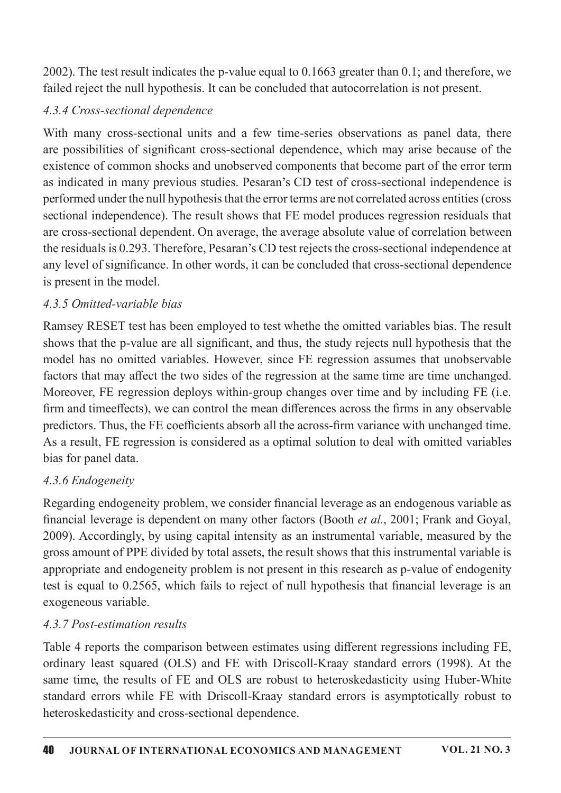2002). The test result indicates the p-value equal to  $0.1663$  greater than  $0.1$ ; and therefore, we failed reject the null hypothesis. It can be concluded that autocorrelation is not present.

## 4.3.4 Cross-sectional dependence

With many cross-sectional units and a few time-series observations as panel data, there are possibilities of significant cross-sectional dependence, which may arise because of the existence of common shocks and unobserved components that become part of the error term as indicated in many previous studies. Pesaran's CD test of cross-sectional independence is performed under the null hypothesis that the error terms are not correlated across entities (cross sectional independence). The result shows that FE model produces regression residuals that are cross-sectional dependent. On average, the average absolute value of correlation between the residuals is 0.293. Therefore, Pesaran's CD test rejects the cross-sectional independence at any level of significance. In other words, it can be concluded that cross-sectional dependence is present in the model.

### 4.3.5 Omitted-variable bias

Ramsey RESET test has been employed to test whethe the omitted variables bias. The result shows that the p-value are all significant, and thus, the study rejects null hypothesis that the model has no omitted variables. However, since FE regression assumes that unobservable factors that may affect the two sides of the regression at the same time are time unchanged. Moreover, FE regression deploys within-group changes over time and by including FE (i.e. firm and time effects), we can control the mean differences across the firms in any observable predictors. Thus, the FE coefficients absorb all the across-firm variance with unchanged time. As a result, FE regression is considered as a optimal solution to deal with omitted variables bias for panel data.

# 4.3.6 Endogeneity

Regarding endogeneity problem, we consider financial leverage as an endogenous variable as financial leverage is dependent on many other factors (Booth *et al.*, 2001; Frank and Goyal, 2009). Accordingly, by using capital intensity as an instrumental variable, measured by the gross amount of PPE divided by total assets, the result shows that this instrumental variable is appropriate and endogeneity problem is not present in this research as p-value of endogenity test is equal to 0.2565, which fails to reject of null hypothesis that financial leverage is an exogeneous variable.

### 4.3.7 Post-estimation results

Table 4 reports the comparison between estimates using different regressions including FE, ordinary least squared (OLS) and FE with Driscoll-Kraay standard errors (1998). At the same time, the results of FE and OLS are robust to heteroskedasticity using Huber-White standard errors while FE with Driscoll-Kraay standard errors is asymptotically robust to heteroskedasticity and cross-sectional dependence.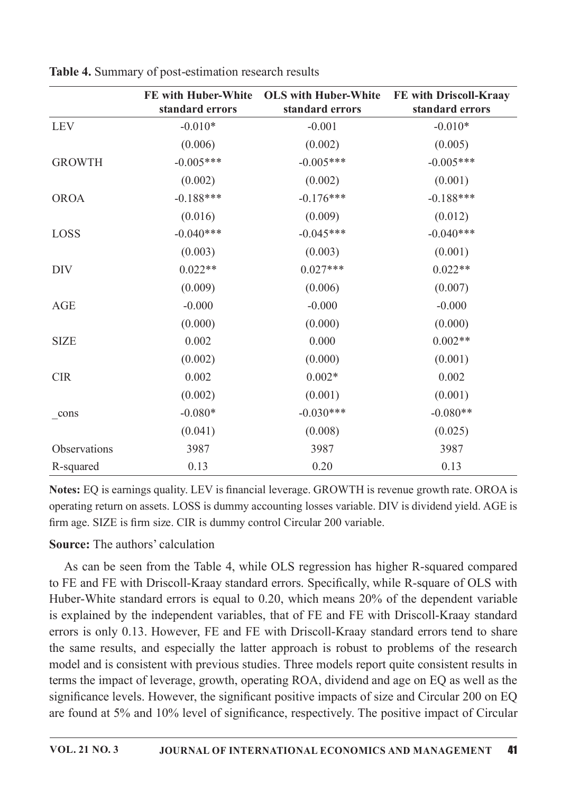|               | <b>FE with Huber-White</b><br>standard errors | <b>OLS with Huber-White</b><br>standard errors | FE with Driscoll-Kraay<br>standard errors |
|---------------|-----------------------------------------------|------------------------------------------------|-------------------------------------------|
| <b>LEV</b>    | $-0.010*$                                     | $-0.001$                                       | $-0.010*$                                 |
|               | (0.006)                                       | (0.002)                                        | (0.005)                                   |
| <b>GROWTH</b> | $-0.005***$                                   | $-0.005***$                                    | $-0.005***$                               |
|               | (0.002)                                       | (0.002)                                        | (0.001)                                   |
| <b>OROA</b>   | $-0.188***$                                   | $-0.176***$                                    | $-0.188***$                               |
|               | (0.016)                                       | (0.009)                                        | (0.012)                                   |
| LOSS          | $-0.040***$                                   | $-0.045***$                                    | $-0.040***$                               |
|               | (0.003)                                       | (0.003)                                        | (0.001)                                   |
| <b>DIV</b>    | $0.022**$                                     | $0.027***$                                     | $0.022**$                                 |
|               | (0.009)                                       | (0.006)                                        | (0.007)                                   |
| AGE           | $-0.000$                                      | $-0.000$                                       | $-0.000$                                  |
|               | (0.000)                                       | (0.000)                                        | (0.000)                                   |
| <b>SIZE</b>   | 0.002                                         | 0.000                                          | $0.002**$                                 |
|               | (0.002)                                       | (0.000)                                        | (0.001)                                   |
| <b>CIR</b>    | 0.002                                         | $0.002*$                                       | 0.002                                     |
|               | (0.002)                                       | (0.001)                                        | (0.001)                                   |
| cons          | $-0.080*$                                     | $-0.030***$                                    | $-0.080**$                                |
|               | (0.041)                                       | (0.008)                                        | (0.025)                                   |
| Observations  | 3987                                          | 3987                                           | 3987                                      |
| R-squared     | 0.13                                          | 0.20                                           | 0.13                                      |

Table 4. Summary of post-estimation research results

Notes: EQ is earnings quality. LEV is financial leverage. GROWTH is revenue growth rate. OROA is operating return on assets. LOSS is dummy accounting losses variable. DIV is dividend yield. AGE is firm age. SIZE is firm size. CIR is dummy control Circular 200 variable.

### **Source:** The authors' calculation

As can be seen from the Table 4, while OLS regression has higher R-squared compared to FE and FE with Driscoll-Kraay standard errors. Specifically, while R-square of OLS with Huber-White standard errors is equal to 0.20, which means 20% of the dependent variable is explained by the independent variables, that of FE and FE with Driscoll-Kraay standard errors is only 0.13. However, FE and FE with Driscoll-Kraay standard errors tend to share the same results, and especially the latter approach is robust to problems of the research model and is consistent with previous studies. Three models report quite consistent results in terms the impact of leverage, growth, operating ROA, dividend and age on EQ as well as the significance levels. However, the significant positive impacts of size and Circular 200 on EQ are found at 5% and 10% level of significance, respectively. The positive impact of Circular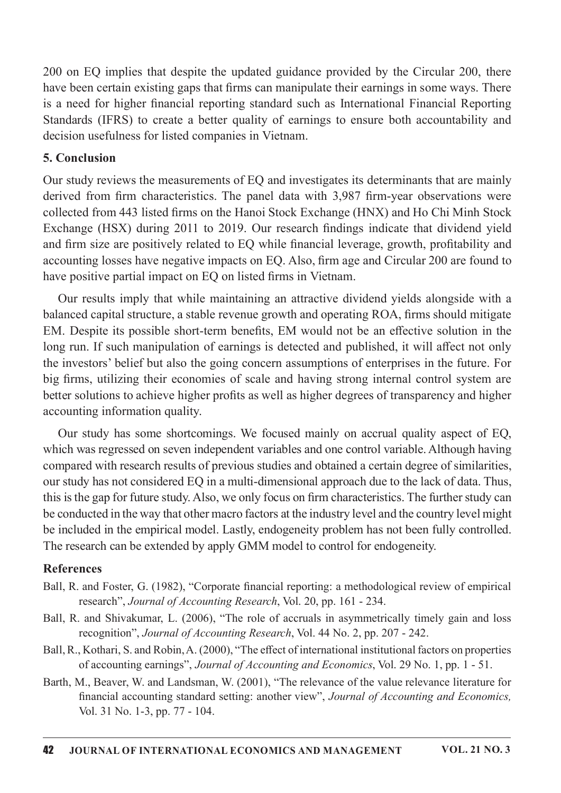200 on EQ implies that despite the updated guidance provided by the Circular 200, there have been certain existing gaps that firms can manipulate their earnings in some ways. There is a need for higher financial reporting standard such as International Financial Reporting Standards (IFRS) to create a better quality of earnings to ensure both accountability and decision usefulness for listed companies in Vietnam.

#### 5. Conclusion

Our study reviews the measurements of EQ and investigates its determinants that are mainly derived from firm characteristics. The panel data with 3,987 firm-year observations were collected from 443 listed firms on the Hanoi Stock Exchange (HNX) and Ho Chi Minh Stock Exchange (HSX) during 2011 to 2019. Our research findings indicate that dividend yield and firm size are positively related to EQ while financial leverage, growth, profitability and accounting losses have negative impacts on EQ. Also, firm age and Circular 200 are found to have positive partial impact on EQ on listed firms in Vietnam.

Our results imply that while maintaining an attractive dividend yields alongside with a balanced capital structure, a stable revenue growth and operating ROA, firms should mitigate EM. Despite its possible short-term benefits, EM would not be an effective solution in the long run. If such manipulation of earnings is detected and published, it will affect not only the investors' belief but also the going concern assumptions of enterprises in the future. For big firms, utilizing their economies of scale and having strong internal control system are better solutions to achieve higher profits as well as higher degrees of transparency and higher accounting information quality.

Our study has some shortcomings.We focused mainly on accrual quality aspect of EQ, which was regressed on seven independent variables and one control variable. Although having compared with research results of previous studies and obtained a certain degree of similarities, our study has not considered EQ in a multi-dimensional approach due to the lack of data. Thus, this is the gap for future study. Also, we only focus on firm characteristics. The further study can be conducted in the way that other macro factors at the industry level and the country level might be included in the empirical model. Lastly, endogeneity problem has not been fully controlled. The research can be extended by apply GMM model to control for endogeneity.

#### References

- Ball, R. and Foster, G. (1982), "Corporate financial reporting: a methodological review of empirical research", Journal of Accounting Research, Vol. 20, pp. 161 - 234.
- Ball, R. and Shivakumar, L. (2006), "The role of accruals in asymmetrically timely gain and loss recognition", Journal of Accounting Research, Vol. 44 No. 2, pp. 207 - 242.
- Ball, R., Kothari, S. and Robin, A. (2000), "The effect of international institutional factors on properties of accounting earnings", Journal of Accounting and Economics, Vol. 29 No. 1, pp. 1 - 51.
- Barth, M., Beaver, W. and Landsman, W. (2001), "The relevance of the value relevance literature for financial accounting standard setting: another view", Journal of Accounting and Economics, Vol.31No.1-3,pp.77-104.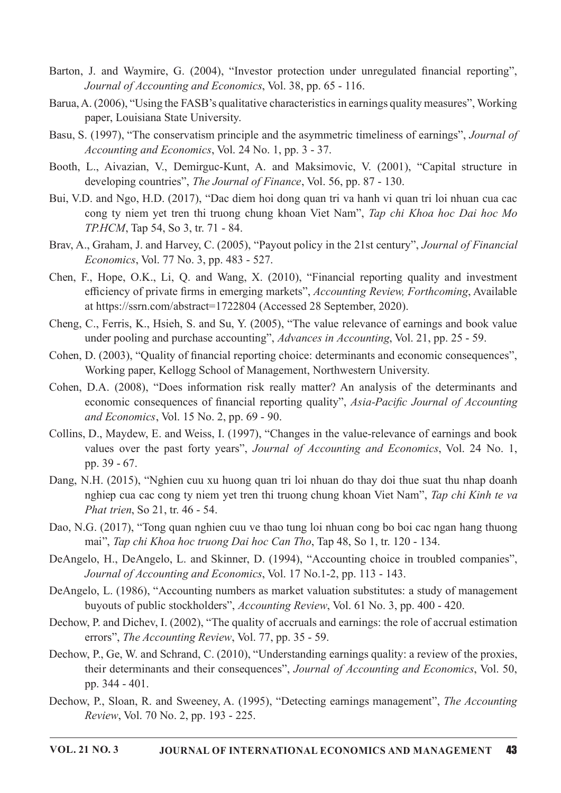- Barton, J. and Waymire, G. (2004), "Investor protection under unregulated financial reporting", Journal of Accounting and Economics, Vol. 38, pp. 65 - 116.
- Barua, A. (2006), "Using the FASB's qualitative characteristics in earnings quality measures". Working paper, Louisiana State University.
- Basu, S. (1997), "The conservatism principle and the asymmetric timeliness of earnings", Journal of Accounting and Economics, Vol. 24 No. 1, pp. 3 - 37.
- Booth, L., Aivazian, V., Demirguc-Kunt, A. and Maksimovic, V. (2001), "Capital structure in developing countries", The Journal of Finance, Vol. 56, pp. 87 - 130.
- Bui, V.D. and Ngo, H.D. (2017), "Dac diem hoi dong quan tri va hanh vi quan tri loi nhuan cua cac cong ty niem yet tren thi truong chung khoan Viet Nam", Tap chi Khoa hoc Dai hoc Mo TP.HCM, Tap 54, So 3, tr. 71 - 84.
- Bray, A., Graham, J. and Harvey, C. (2005), "Payout policy in the 21st century", Journal of Financial *Economics*, Vol. 77 No. 3, pp. 483 - 527.
- Chen, F., Hope, O.K., Li, Q. and Wang, X. (2010), "Financial reporting quality and investment efficiency of private firms in emerging markets", Accounting Review, Forthcoming, Available at https://ssrn.com/abstract=1722804 (Accessed 28 September, 2020).
- Cheng, C., Ferris, K., Hsieh, S. and Su, Y. (2005), "The value relevance of earnings and book value under pooling and purchase accounting", Advances in Accounting, Vol. 21, pp. 25 - 59.
- Cohen, D. (2003), "Quality of financial reporting choice: determinants and economic consequences", Working paper, Kellogg School of Management, Northwestern University.
- Cohen, D.A. (2008), "Does information risk really matter? An analysis of the determinants and economic consequences of financial reporting quality", Asia-Pacific Journal of Accounting and Economics, Vol. 15 No. 2, pp. 69 - 90.
- Collins, D., Maydew, E. and Weiss, I. (1997), "Changes in the value-relevance of earnings and book values over the past forty years", Journal of Accounting and Economics, Vol. 24 No. 1, pp. 39 - 67.
- Dang, N.H. (2015), "Nghien cuu xu huong quan tri loi nhuan do thay doi thue suat thu nhap doanh nghiep cua cac cong ty niem yet tren thi truong chung khoan Viet Nam", Tap chi Kinh te va Phat trien, So 21, tr. 46 - 54.
- Dao, N.G. (2017), "Tong quan nghien cuu ve thao tung loi nhuan cong bo boi cac ngan hang thuong mai". Tap chi Khoa hoc truong Dai hoc Can Tho, Tap 48, So 1, tr. 120 - 134.
- DeAngelo, H., DeAngelo, L. and Skinner, D. (1994), "Accounting choice in troubled companies", Journal of Accounting and Economics, Vol. 17 No.1-2, pp. 113 - 143.
- DeAngelo, L. (1986), "Accounting numbers as market valuation substitutes: a study of management buyouts of public stockholders", *Accounting Review*, Vol. 61 No. 3, pp. 400 - 420.
- Dechow, P. and Dichev, I. (2002), "The quality of accruals and earnings: the role of accrual estimation errors", The Accounting Review, Vol. 77, pp. 35 - 59.
- Dechow, P., Ge, W. and Schrand, C. (2010), "Understanding earnings quality: a review of the proxies, their determinants and their consequences", Journal of Accounting and Economics, Vol. 50, pp. 344 - 401.
- Dechow, P., Sloan, R. and Sweeney, A. (1995), "Detecting earnings management", The Accounting Review, Vol. 70 No. 2, pp. 193 - 225.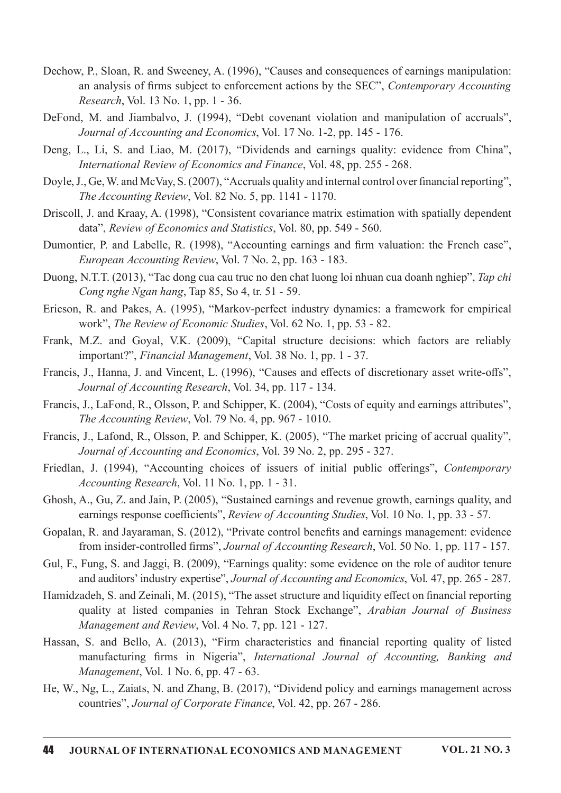- Dechow, P., Sloan, R. and Sweeney, A. (1996), "Causes and consequences of earnings manipulation: an analysis of firms subject to enforcement actions by the SEC", Contemporary Accounting Research, Vol. 13 No. 1, pp. 1 - 36.
- DeFond, M. and Jiambalvo, J. (1994), "Debt covenant violation and manipulation of accruals", Journal of Accounting and Economics, Vol. 17 No. 1-2, pp. 145 - 176.
- Deng, L., Li, S. and Liao, M. (2017), "Dividends and earnings quality: evidence from China", International Review of Economics and Finance, Vol. 48, pp. 255 - 268.
- Doyle, J., Ge, W. and McVay, S. (2007), "Accruals quality and internal control over financial reporting". The Accounting Review, Vol. 82 No. 5, pp. 1141 - 1170.
- Driscoll, J. and Kraav, A. (1998). "Consistent covariance matrix estimation with spatially dependent data", Review of Economics and Statistics, Vol. 80, pp. 549 - 560.
- Dumontier, P. and Labelle, R. (1998), "Accounting earnings and firm valuation: the French case". European Accounting Review, Vol. 7 No. 2, pp. 163 - 183.
- Duong, N.T.T. (2013), "Tac dong cua cau truc no den chat luong loi nhuan cua doanh nghiep", Tap chi Cong nghe Ngan hang, Tap 85, So 4, tr. 51 - 59.
- Ericson, R. and Pakes, A. (1995), "Markov-perfect industry dynamics: a framework for empirical work", The Review of Economic Studies, Vol. 62 No. 1, pp. 53 - 82.
- Frank, M.Z. and Goyal, V.K. (2009), "Capital structure decisions: which factors are reliably important?", Financial Management, Vol. 38 No. 1, pp. 1 - 37.
- Francis, J., Hanna, J. and Vincent, L. (1996), "Causes and effects of discretionary asset write-offs", Journal of Accounting Research, Vol. 34, pp. 117 - 134.
- Francis, J., LaFond, R., Olsson, P. and Schipper, K. (2004), "Costs of equity and earnings attributes", The Accounting Review, Vol. 79 No. 4, pp. 967 - 1010.
- Francis, J., Lafond, R., Olsson, P. and Schipper, K. (2005), "The market pricing of accrual quality", Journal of Accounting and Economics, Vol. 39 No. 2, pp. 295 - 327.
- Friedlan, J. (1994), "Accounting choices of issuers of initial public offerings", Contemporary Accounting Research, Vol. 11 No. 1, pp. 1 - 31.
- Ghosh, A., Gu, Z. and Jain, P. (2005). "Sustained earnings and revenue growth, earnings quality, and earnings response coefficients", Review of Accounting Studies, Vol. 10 No. 1, pp. 33 - 57.
- Gopalan, R. and Jayaraman, S. (2012), "Private control benefits and earnings management: evidence from insider-controlled firms", Journal of Accounting Research, Vol. 50 No. 1, pp. 117 - 157.
- Gul, F., Fung, S. and Jaggi, B. (2009), "Earnings quality: some evidence on the role of auditor tenure and auditors' industry expertise", Journal of Accounting and Economics, Vol. 47, pp. 265 - 287.
- Hamidzadeh, S. and Zeinali, M. (2015), "The asset structure and liquidity effect on financial reporting quality at listed companies in Tehran Stock Exchange", Arabian Journal of Business Management and Review, Vol. 4 No. 7, pp. 121 - 127.
- Hassan, S. and Bello, A. (2013), "Firm characteristics and financial reporting quality of listed manufacturing firms in Nigeria", International Journal of Accounting, Banking and Management, Vol. 1 No. 6, pp. 47 - 63.
- He, W., Ng, L., Zaiats, N. and Zhang, B. (2017), "Dividend policy and earnings management across countries", Journal of Corporate Finance, Vol. 42, pp. 267 - 286.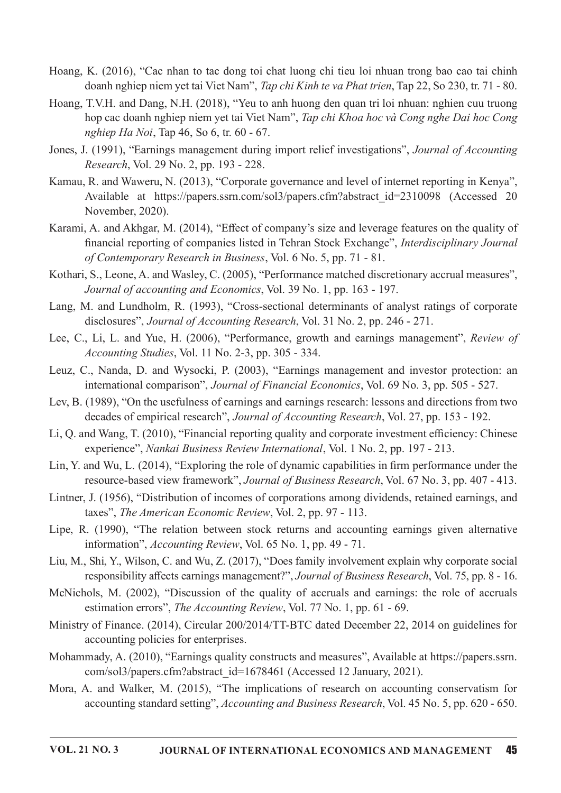- Hoang, K. (2016), "Cac nhan to tac dong toi chat luong chi tieu loi nhuan trong bao cao tai chinh doanh nghiep niem yet tai Viet Nam", Tap chi Kinh te va Phat trien, Tap 22, So 230, tr. 71 - 80.
- Hoang, T.V.H. and Dang, N.H. (2018), "Yeu to anh huong den quan tri loi nhuan: nghien cuu truong hop cac doanh nghiep niem yet tai Viet Nam", Tap chi Khoa hoc và Cong nghe Dai hoc Cong nghiep Ha Noi, Tap 46, So 6, tr.  $60 - 67$ .
- Jones, J. (1991), "Earnings management during import relief investigations", Journal of Accounting Research, Vol. 29 No. 2, pp. 193 - 228.
- Kamau, R. and Waweru, N. (2013), "Corporate governance and level of internet reporting in Kenya", Available at https://papers.ssrn.com/sol3/papers.cfm?abstract\_id=2310098 (Accessed 20 November, 2020).
- Karami, A. and Akhgar, M. (2014), "Effect of company's size and leverage features on the quality of financial reporting of companies listed in Tehran Stock Exchange", Interdisciplinary Journal of Contemporary Research in Business, Vol. 6 No. 5, pp. 71 - 81.
- Kothari, S., Leone, A. and Wasley, C. (2005), "Performance matched discretionary accrual measures", Journal of accounting and Economics, Vol. 39 No. 1, pp. 163 - 197.
- Lang, M. and Lundholm, R. (1993), "Cross-sectional determinants of analyst ratings of corporate disclosures", Journal of Accounting Research, Vol. 31 No. 2, pp. 246 - 271.
- Lee, C., Li, L. and Yue, H. (2006), "Performance, growth and earnings management", Review of  $Accounting Studies$ , Vol. 11 No. 2-3, pp. 305 - 334.
- Leuz, C., Nanda, D. and Wysocki, P. (2003), "Earnings management and investor protection: an international comparison", Journal of Financial Economics, Vol. 69 No. 3, pp. 505 - 527.
- Lev, B. (1989), "On the usefulness of earnings and earnings research: lessons and directions from two decades of empirical research", Journal of Accounting Research, Vol. 27, pp. 153 - 192.
- Li, Q. and Wang, T. (2010), "Financial reporting quality and corporate investment efficiency: Chinese experience", Nankai Business Review International, Vol. 1 No. 2, pp. 197 - 213.
- Lin, Y. and Wu, L. (2014), "Exploring the role of dynamic capabilities in firm performance under the resource-based view framework", Journal of Business Research, Vol. 67 No. 3, pp. 407 - 413.
- Lintner, J. (1956), "Distribution of incomes of corporations among dividends, retained earnings, and taxes", The American Economic Review, Vol. 2, pp. 97 - 113.
- Lipe, R. (1990), "The relation between stock returns and accounting earnings given alternative information", Accounting Review, Vol. 65 No. 1, pp. 49 - 71.
- Liu, M., Shi, Y., Wilson, C. and Wu, Z. (2017), "Does family involvement explain why corporate social responsibility affects earnings management?", Journal of Business Research, Vol. 75, pp. 8 - 16.
- McNichols, M. (2002), "Discussion of the quality of accruals and earnings: the role of accruals estimation errors", The Accounting Review, Vol. 77 No. 1, pp. 61 - 69.
- Ministry of Finance. (2014). Circular 200/2014/TT-BTC dated December 22, 2014 on guidelines for accounting policies for enterprises.
- Mohammady, A. (2010), "Earnings quality constructs and measures", Available at https://papers.ssrn. com/sol3/papers.cfm?abstract\_id=1678461 (Accessed 12 January, 2021).
- Mora, A. and Walker, M. (2015), "The implications of research on accounting conservatism for accounting standard setting", Accounting and Business Research, Vol. 45 No. 5, pp. 620 - 650.